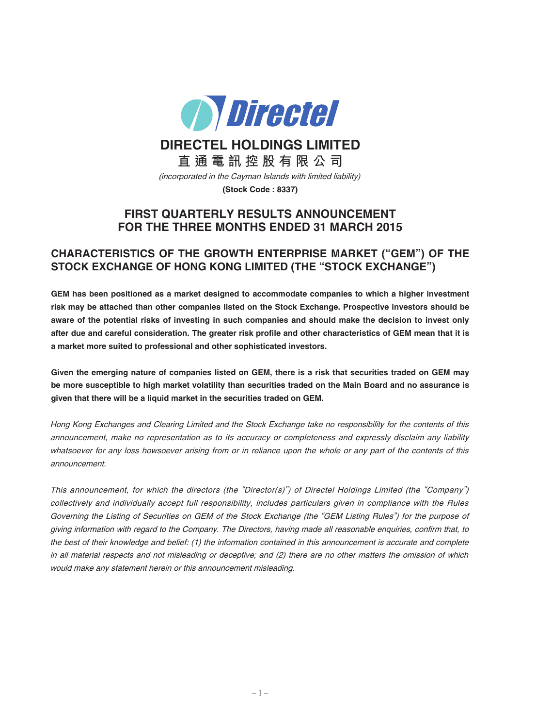

**DIRECTEL HOLDINGS LIMITED**

**直 通 電 訊 控 股 有 限 公 司**

(incorporated in the Cayman Islands with limited liability)

**(Stock Code : 8337)**

# **FIRST QUARTERLY RESULTS ANNOUNCEMENT FOR THE THREE MONTHS ENDED 31 MARCH 2015**

# **CHARACTERISTICS OF THE GROWTH ENTERPRISE MARKET ("GEM") OF THE STOCK EXCHANGE OF HONG KONG LIMITED (THE "STOCK EXCHANGE")**

**GEM has been positioned as a market designed to accommodate companies to which a higher investment risk may be attached than other companies listed on the Stock Exchange. Prospective investors should be** aware of the potential risks of investing in such companies and should make the decision to invest only after due and careful consideration. The greater risk profile and other characteristics of GEM mean that it is **a market more suited to professional and other sophisticated investors.**

Given the emerging nature of companies listed on GEM, there is a risk that securities traded on GEM may be more susceptible to high market volatility than securities traded on the Main Board and no assurance is **given that there will be a liquid market in the securities traded on GEM.**

Hong Kong Exchanges and Clearing Limited and the Stock Exchange take no responsibility for the contents of this announcement, make no representation as to its accuracy or completeness and expressly disclaim any liability whatsoever for any loss howsoever arising from or in reliance upon the whole or any part of the contents of this announcement.

This announcement, for which the directors (the "Director(s)") of Directel Holdings Limited (the "Company") collectively and individually accept full responsibility, includes particulars given in compliance with the Rules Governing the Listing of Securities on GEM of the Stock Exchange (the "GEM Listing Rules") for the purpose of giving information with regard to the Company. The Directors, having made all reasonable enquiries, confirm that, to the best of their knowledge and belief: (1) the information contained in this announcement is accurate and complete in all material respects and not misleading or deceptive; and (2) there are no other matters the omission of which would make any statement herein or this announcement misleading.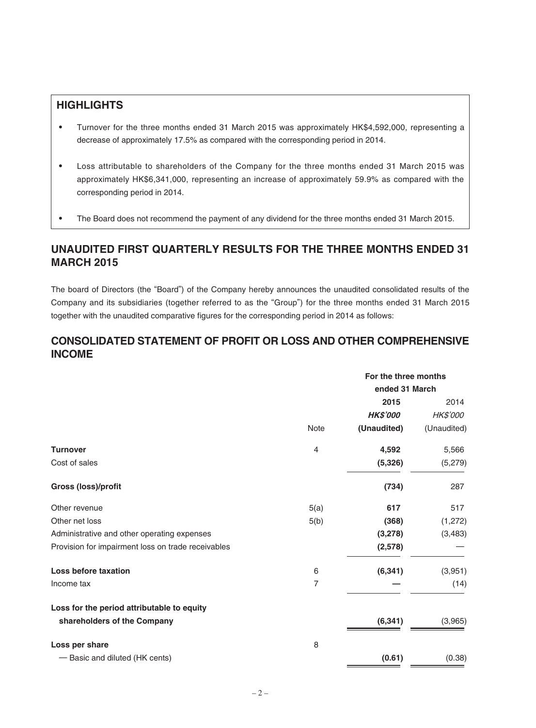# **HIGHLIGHTS**

- ‧ Turnover for the three months ended 31 March 2015 was approximately HK\$4,592,000, representing a decrease of approximately 17.5% as compared with the corresponding period in 2014.
- ‧ Loss attributable to shareholders of the Company for the three months ended 31 March 2015 was approximately HK\$6,341,000, representing an increase of approximately 59.9% as compared with the corresponding period in 2014.
- The Board does not recommend the payment of any dividend for the three months ended 31 March 2015.

# **UNAUDITED FIRST QUARTERLY RESULTS FOR THE THREE MONTHS ENDED 31 MARCH 2015**

The board of Directors (the "Board") of the Company hereby announces the unaudited consolidated results of the Company and its subsidiaries (together referred to as the "Group") for the three months ended 31 March 2015 together with the unaudited comparative figures for the corresponding period in 2014 as follows:

# **CONSOLIDATED STATEMENT OF PROFIT OR LOSS AND OTHER COMPREHENSIVE INCOME**

|                                                    |                | For the three months |                 |
|----------------------------------------------------|----------------|----------------------|-----------------|
|                                                    |                | ended 31 March       |                 |
|                                                    |                | 2015                 | 2014            |
|                                                    |                | <b>HK\$'000</b>      | <b>HK\$'000</b> |
|                                                    | Note           | (Unaudited)          | (Unaudited)     |
| <b>Turnover</b>                                    | 4              | 4,592                | 5,566           |
| Cost of sales                                      |                | (5, 326)             | (5,279)         |
| Gross (loss)/profit                                |                | (734)                | 287             |
| Other revenue                                      | 5(a)           | 617                  | 517             |
| Other net loss                                     | 5(b)           | (368)                | (1,272)         |
| Administrative and other operating expenses        |                | (3,278)              | (3, 483)        |
| Provision for impairment loss on trade receivables |                | (2,578)              |                 |
| <b>Loss before taxation</b>                        | 6              | (6, 341)             | (3,951)         |
| Income tax                                         | $\overline{7}$ |                      | (14)            |
| Loss for the period attributable to equity         |                |                      |                 |
| shareholders of the Company                        |                | (6, 341)             | (3,965)         |
| Loss per share                                     | 8              |                      |                 |
| - Basic and diluted (HK cents)                     |                | (0.61)               | (0.38)          |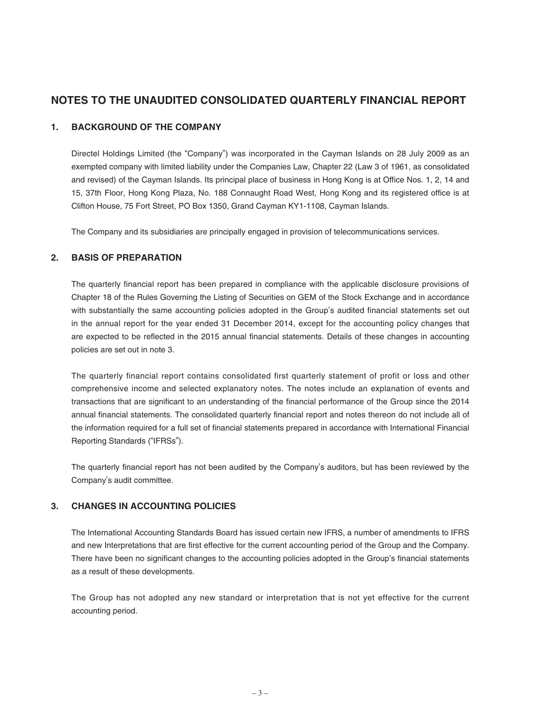# **NOTES TO THE UNAUDITED CONSOLIDATED QUARTERLY FINANCIAL REPORT**

## **1. BACKGROUND OF THE COMPANY**

Directel Holdings Limited (the "Company") was incorporated in the Cayman Islands on 28 July 2009 as an exempted company with limited liability under the Companies Law, Chapter 22 (Law 3 of 1961, as consolidated and revised) of the Cayman Islands. Its principal place of business in Hong Kong is at Office Nos. 1, 2, 14 and 15, 37th Floor, Hong Kong Plaza, No. 188 Connaught Road West, Hong Kong and its registered office is at Clifton House, 75 Fort Street, PO Box 1350, Grand Cayman KY1-1108, Cayman Islands.

The Company and its subsidiaries are principally engaged in provision of telecommunications services.

## **2. BASIS OF PREPARATION**

The quarterly financial report has been prepared in compliance with the applicable disclosure provisions of Chapter 18 of the Rules Governing the Listing of Securities on GEM of the Stock Exchange and in accordance with substantially the same accounting policies adopted in the Group's audited financial statements set out in the annual report for the year ended 31 December 2014, except for the accounting policy changes that are expected to be reflected in the 2015 annual financial statements. Details of these changes in accounting policies are set out in note 3.

The quarterly financial report contains consolidated first quarterly statement of profit or loss and other comprehensive income and selected explanatory notes. The notes include an explanation of events and transactions that are significant to an understanding of the financial performance of the Group since the 2014 annual financial statements. The consolidated quarterly financial report and notes thereon do not include all of the information required for a full set of financial statements prepared in accordance with International Financial Reporting Standards ("IFRSs").

The quarterly financial report has not been audited by the Company's auditors, but has been reviewed by the Company's audit committee.

# **3. CHANGES IN ACCOUNTING POLICIES**

The International Accounting Standards Board has issued certain new IFRS, a number of amendments to IFRS and new Interpretations that are first effective for the current accounting period of the Group and the Company. There have been no significant changes to the accounting policies adopted in the Group's financial statements as a result of these developments.

The Group has not adopted any new standard or interpretation that is not yet effective for the current accounting period.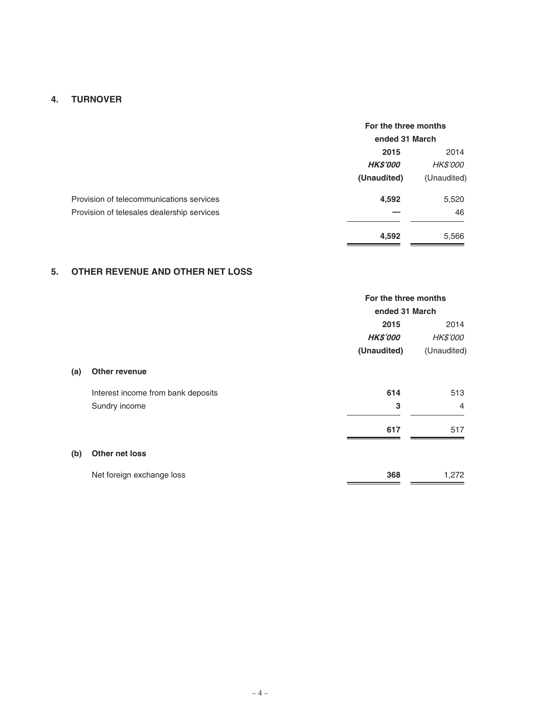# **4. TURNOVER**

|                                            | For the three months |                 |
|--------------------------------------------|----------------------|-----------------|
|                                            | ended 31 March       |                 |
|                                            | 2015                 |                 |
|                                            | <b>HK\$'000</b>      | <b>HK\$'000</b> |
|                                            | (Unaudited)          | (Unaudited)     |
| Provision of telecommunications services   | 4,592                | 5,520           |
| Provision of telesales dealership services |                      | 46              |
|                                            | 4,592                | 5,566           |

# **5. OTHER REVENUE AND OTHER NET LOSS**

|     |                                    | For the three months |                 |  |
|-----|------------------------------------|----------------------|-----------------|--|
|     |                                    |                      | ended 31 March  |  |
|     |                                    | 2015                 |                 |  |
|     |                                    | <b>HK\$'000</b>      | <b>HK\$'000</b> |  |
|     |                                    | (Unaudited)          | (Unaudited)     |  |
| (a) | <b>Other revenue</b>               |                      |                 |  |
|     | Interest income from bank deposits | 614                  | 513             |  |
|     | Sundry income                      | 3                    | $\overline{4}$  |  |
|     |                                    | 617                  | 517             |  |
| (b) | Other net loss                     |                      |                 |  |
|     | Net foreign exchange loss          | 368                  | 1,272           |  |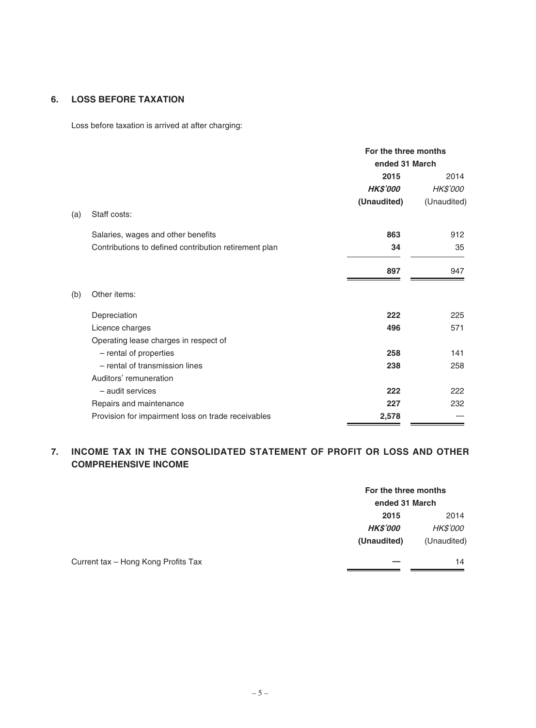# **6. LOSS BEFORE TAXATION**

Loss before taxation is arrived at after charging:

|     |                                                       | For the three months<br>ended 31 March |                 |
|-----|-------------------------------------------------------|----------------------------------------|-----------------|
|     |                                                       | 2015                                   | 2014            |
|     |                                                       | <b>HK\$'000</b>                        | <b>HK\$'000</b> |
|     |                                                       | (Unaudited)                            | (Unaudited)     |
| (a) | Staff costs:                                          |                                        |                 |
|     | Salaries, wages and other benefits                    | 863                                    | 912             |
|     | Contributions to defined contribution retirement plan | 34                                     | 35              |
|     |                                                       | 897                                    | 947             |
| (b) | Other items:                                          |                                        |                 |
|     | Depreciation                                          | 222                                    | 225             |
|     | Licence charges                                       | 496                                    | 571             |
|     | Operating lease charges in respect of                 |                                        |                 |
|     | - rental of properties                                | 258                                    | 141             |
|     | - rental of transmission lines                        | 238                                    | 258             |
|     | Auditors' remuneration                                |                                        |                 |
|     | - audit services                                      | 222                                    | 222             |
|     | Repairs and maintenance                               | 227                                    | 232             |
|     | Provision for impairment loss on trade receivables    | 2,578                                  |                 |

# **7. INCOME TAX IN THE CONSOLIDATED STATEMENT OF PROFIT OR LOSS AND OTHER COMPREHENSIVE INCOME**

|                                     | For the three months |                 |
|-------------------------------------|----------------------|-----------------|
|                                     | ended 31 March       |                 |
|                                     | 2015                 | 2014            |
|                                     | <b>HK\$'000</b>      | <i>HK\$'000</i> |
|                                     | (Unaudited)          | (Unaudited)     |
| Current tax - Hong Kong Profits Tax |                      | 14              |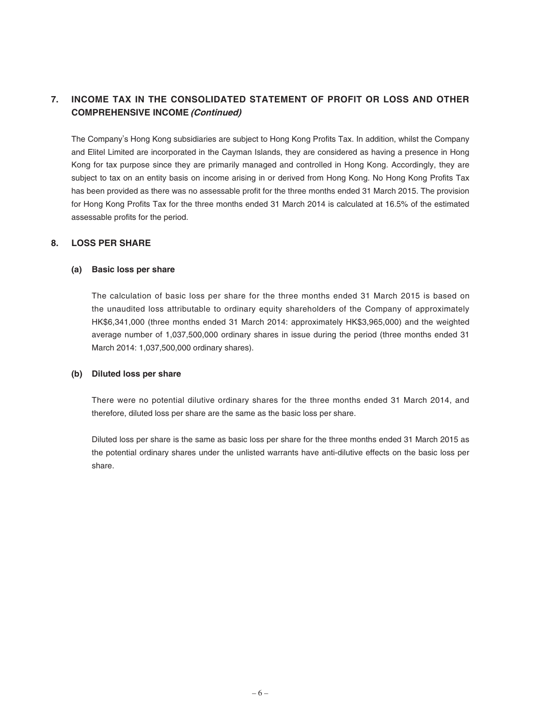# **7. INCOME TAX IN THE CONSOLIDATED STATEMENT OF PROFIT OR LOSS AND OTHER COMPREHENSIVE INCOME (Continued)**

The Company's Hong Kong subsidiaries are subject to Hong Kong Profits Tax. In addition, whilst the Company and Elitel Limited are incorporated in the Cayman Islands, they are considered as having a presence in Hong Kong for tax purpose since they are primarily managed and controlled in Hong Kong. Accordingly, they are subject to tax on an entity basis on income arising in or derived from Hong Kong. No Hong Kong Profits Tax has been provided as there was no assessable profit for the three months ended 31 March 2015. The provision for Hong Kong Profits Tax for the three months ended 31 March 2014 is calculated at 16.5% of the estimated assessable profits for the period.

### **8. LOSS PER SHARE**

### **(a) Basic loss per share**

The calculation of basic loss per share for the three months ended 31 March 2015 is based on the unaudited loss attributable to ordinary equity shareholders of the Company of approximately HK\$6,341,000 (three months ended 31 March 2014: approximately HK\$3,965,000) and the weighted average number of 1,037,500,000 ordinary shares in issue during the period (three months ended 31 March 2014: 1,037,500,000 ordinary shares).

### **(b) Diluted loss per share**

There were no potential dilutive ordinary shares for the three months ended 31 March 2014, and therefore, diluted loss per share are the same as the basic loss per share.

Diluted loss per share is the same as basic loss per share for the three months ended 31 March 2015 as the potential ordinary shares under the unlisted warrants have anti-dilutive effects on the basic loss per share.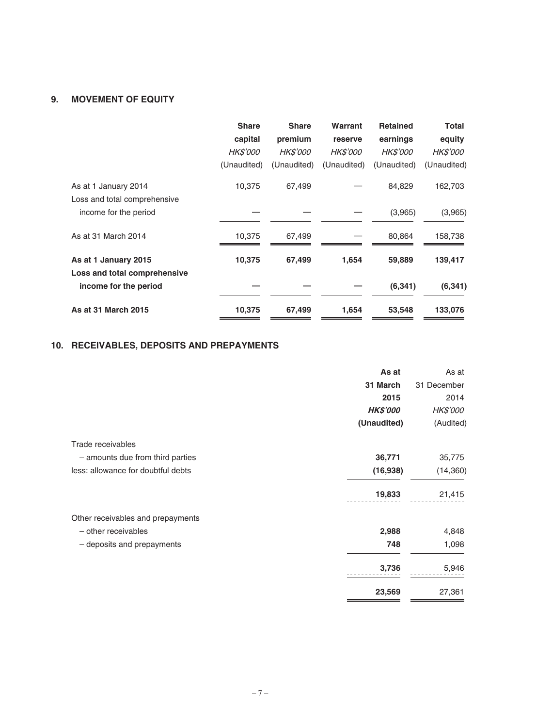# **9. MOVEMENT OF EQUITY**

| <b>Share</b>    | <b>Share</b>    | Warrant         | <b>Retained</b> | <b>Total</b>    |
|-----------------|-----------------|-----------------|-----------------|-----------------|
| capital         | premium         | reserve         | earnings        | equity          |
| <b>HK\$'000</b> | <b>HK\$'000</b> | <b>HK\$'000</b> | <b>HK\$'000</b> | <b>HK\$'000</b> |
| (Unaudited)     | (Unaudited)     | (Unaudited)     | (Unaudited)     | (Unaudited)     |
| 10,375          | 67,499          |                 | 84,829          | 162,703         |
|                 |                 |                 |                 |                 |
|                 |                 |                 | (3,965)         | (3,965)         |
| 10,375          | 67,499          |                 | 80,864          | 158,738         |
| 10,375          | 67,499          | 1,654           | 59,889          | 139,417         |
|                 |                 |                 |                 |                 |
|                 |                 |                 | (6, 341)        | (6, 341)        |
| 10,375          | 67,499          | 1,654           | 53,548          | 133,076         |
|                 |                 |                 |                 |                 |

# **10. RECEIVABLES, DEPOSITS AND PREPAYMENTS**

|                                    | As at           | As at           |
|------------------------------------|-----------------|-----------------|
|                                    | 31 March        | 31 December     |
|                                    | 2015            | 2014            |
|                                    | <b>HK\$'000</b> | <b>HK\$'000</b> |
|                                    | (Unaudited)     | (Audited)       |
| Trade receivables                  |                 |                 |
| - amounts due from third parties   | 36,771          | 35,775          |
| less: allowance for doubtful debts | (16, 938)       | (14, 360)       |
|                                    | 19,833          | 21,415          |
| Other receivables and prepayments  |                 |                 |
| - other receivables                | 2,988           | 4,848           |
| - deposits and prepayments         | 748             | 1,098           |
|                                    | 3,736           | 5,946           |
|                                    | 23,569          | 27,361          |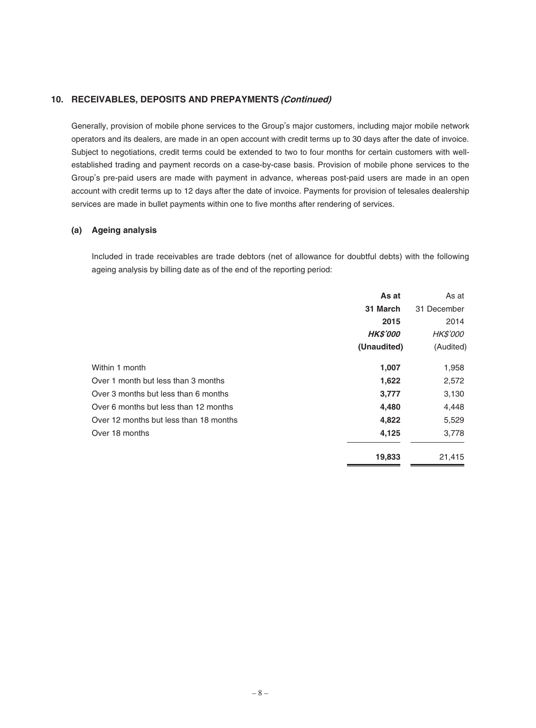Generally, provision of mobile phone services to the Group's major customers, including major mobile network operators and its dealers, are made in an open account with credit terms up to 30 days after the date of invoice. Subject to negotiations, credit terms could be extended to two to four months for certain customers with wellestablished trading and payment records on a case-by-case basis. Provision of mobile phone services to the Group's pre-paid users are made with payment in advance, whereas post-paid users are made in an open account with credit terms up to 12 days after the date of invoice. Payments for provision of telesales dealership services are made in bullet payments within one to five months after rendering of services.

#### **(a) Ageing analysis**

Included in trade receivables are trade debtors (net of allowance for doubtful debts) with the following ageing analysis by billing date as of the end of the reporting period:

|                                        | As at           | As at           |
|----------------------------------------|-----------------|-----------------|
|                                        | 31 March        | 31 December     |
|                                        | 2015            | 2014            |
|                                        | <b>HK\$'000</b> | <i>HK\$'000</i> |
|                                        | (Unaudited)     | (Audited)       |
| Within 1 month                         | 1,007           | 1,958           |
| Over 1 month but less than 3 months    | 1,622           | 2,572           |
| Over 3 months but less than 6 months   | 3,777           | 3,130           |
| Over 6 months but less than 12 months  | 4,480           | 4,448           |
| Over 12 months but less than 18 months | 4,822           | 5,529           |
| Over 18 months                         | 4,125           | 3,778           |
|                                        | 19,833          | 21,415          |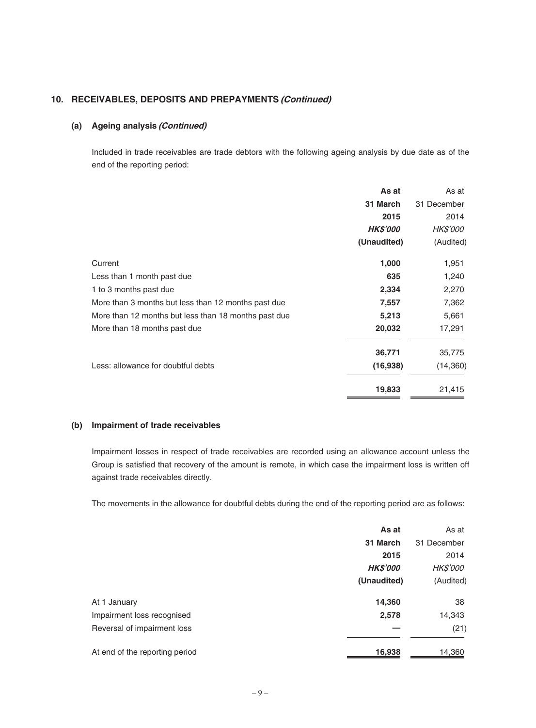### **(a) Ageing analysis (Continued)**

Included in trade receivables are trade debtors with the following ageing analysis by due date as of the end of the reporting period:

|                                                      | As at           | As at           |
|------------------------------------------------------|-----------------|-----------------|
|                                                      | 31 March        | 31 December     |
|                                                      | 2015            | 2014            |
|                                                      | <b>HK\$'000</b> | <b>HK\$'000</b> |
|                                                      | (Unaudited)     | (Audited)       |
| Current                                              | 1,000           | 1,951           |
| Less than 1 month past due                           | 635             | 1,240           |
| 1 to 3 months past due                               | 2,334           | 2,270           |
| More than 3 months but less than 12 months past due  | 7,557           | 7,362           |
| More than 12 months but less than 18 months past due | 5,213           | 5,661           |
| More than 18 months past due                         | 20,032          | 17,291          |
|                                                      | 36,771          | 35,775          |
| Less: allowance for doubtful debts                   | (16,938)        | (14,360)        |
|                                                      | 19,833          | 21,415          |

#### **(b) Impairment of trade receivables**

Impairment losses in respect of trade receivables are recorded using an allowance account unless the Group is satisfied that recovery of the amount is remote, in which case the impairment loss is written off against trade receivables directly.

The movements in the allowance for doubtful debts during the end of the reporting period are as follows:

| As at           | As at       |
|-----------------|-------------|
| 31 March        | 31 December |
| 2015            | 2014        |
| <b>HK\$'000</b> | HK\$'000    |
| (Unaudited)     | (Audited)   |
| 14,360          | 38          |
| 2,578           | 14,343      |
|                 | (21)        |
| 16,938          | 14,360      |
|                 |             |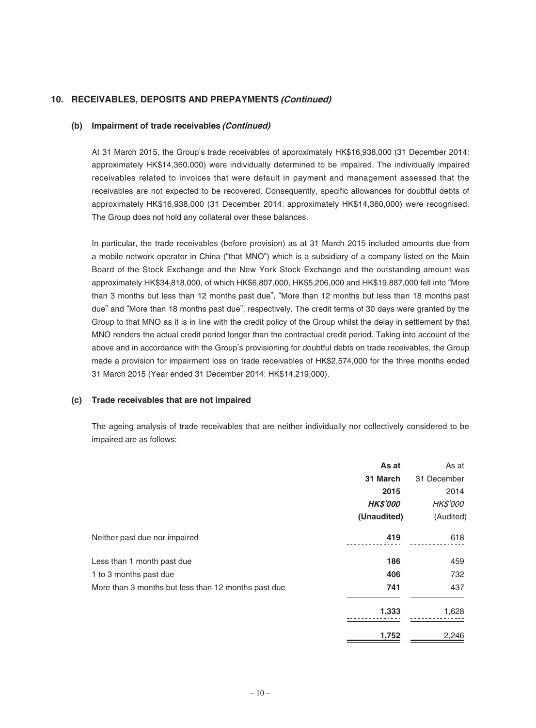#### **(b) Impairment of trade receivables (Continued)**

At 31 March 2015, the Group's trade receivables of approximately HK\$16,938,000 (31 December 2014: approximately HK\$14,360,000) were individually determined to be impaired. The individually impaired receivables related to invoices that were default in payment and management assessed that the receivables are not expected to be recovered. Consequently, specific allowances for doubtful debts of approximately HK\$16,938,000 (31 December 2014: approximately HK\$14,360,000) were recognised. The Group does not hold any collateral over these balances.

In particular, the trade receivables (before provision) as at 31 March 2015 included amounts due from a mobile network operator in China ("that MNO") which is a subsidiary of a company listed on the Main Board of the Stock Exchange and the New York Stock Exchange and the outstanding amount was approximately HK\$34,818,000, of which HK\$6,807,000, HK\$5,206,000 and HK\$19,887,000 fell into "More than 3 months but less than 12 months past due", "More than 12 months but less than 18 months past due" and "More than 18 months past due", respectively. The credit terms of 30 days were granted by the Group to that MNO as it is in line with the credit policy of the Group whilst the delay in settlement by that MNO renders the actual credit period longer than the contractual credit period. Taking into account of the above and in accordance with the Group's provisioning for doubtful debts on trade receivables, the Group made a provision for impairment loss on trade receivables of HK\$2,574,000 for the three months ended 31 March 2015 (Year ended 31 December 2014: HK\$14,219,000).

#### **(c) Trade receivables that are not impaired**

The ageing analysis of trade receivables that are neither individually nor collectively considered to be impaired are as follows:

|                                                     | As at           | As at           |
|-----------------------------------------------------|-----------------|-----------------|
|                                                     | 31 March        | 31 December     |
|                                                     | 2015            | 2014            |
|                                                     | <b>HK\$'000</b> | <b>HK\$'000</b> |
|                                                     | (Unaudited)     | (Audited)       |
| Neither past due nor impaired                       | 419             | 618             |
| Less than 1 month past due                          | 186             | 459             |
| 1 to 3 months past due                              | 406             | 732             |
| More than 3 months but less than 12 months past due | 741             | 437             |
|                                                     | 1,333           | 1,628           |
|                                                     | 1,752           | 2,246           |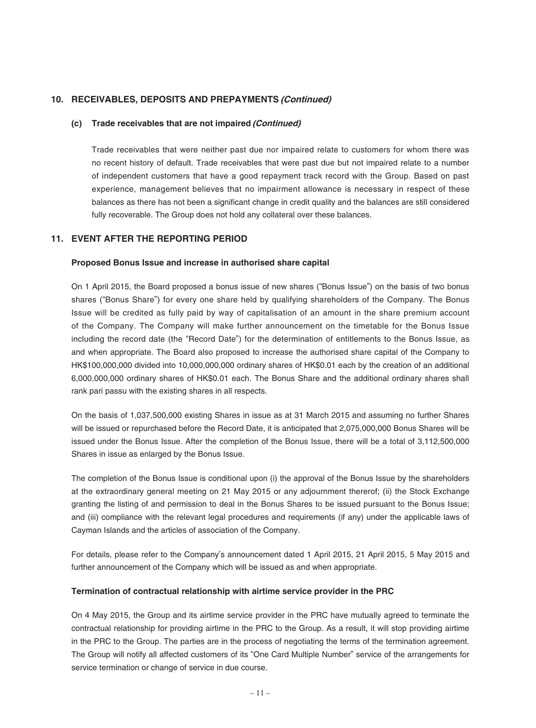#### **(c) Trade receivables that are not impaired (Continued)**

Trade receivables that were neither past due nor impaired relate to customers for whom there was no recent history of default. Trade receivables that were past due but not impaired relate to a number of independent customers that have a good repayment track record with the Group. Based on past experience, management believes that no impairment allowance is necessary in respect of these balances as there has not been a significant change in credit quality and the balances are still considered fully recoverable. The Group does not hold any collateral over these balances.

## **11. EVENT AFTER THE REPORTING PERIOD**

#### **Proposed Bonus Issue and increase in authorised share capital**

On 1 April 2015, the Board proposed a bonus issue of new shares ("Bonus Issue") on the basis of two bonus shares ("Bonus Share") for every one share held by qualifying shareholders of the Company. The Bonus Issue will be credited as fully paid by way of capitalisation of an amount in the share premium account of the Company. The Company will make further announcement on the timetable for the Bonus Issue including the record date (the "Record Date") for the determination of entitlements to the Bonus Issue, as and when appropriate. The Board also proposed to increase the authorised share capital of the Company to HK\$100,000,000 divided into 10,000,000,000 ordinary shares of HK\$0.01 each by the creation of an additional 6,000,000,000 ordinary shares of HK\$0.01 each. The Bonus Share and the additional ordinary shares shall rank pari passu with the existing shares in all respects.

On the basis of 1,037,500,000 existing Shares in issue as at 31 March 2015 and assuming no further Shares will be issued or repurchased before the Record Date, it is anticipated that 2,075,000,000 Bonus Shares will be issued under the Bonus Issue. After the completion of the Bonus Issue, there will be a total of 3,112,500,000 Shares in issue as enlarged by the Bonus Issue.

The completion of the Bonus Issue is conditional upon (i) the approval of the Bonus Issue by the shareholders at the extraordinary general meeting on 21 May 2015 or any adjournment thererof; (ii) the Stock Exchange granting the listing of and permission to deal in the Bonus Shares to be issued pursuant to the Bonus Issue; and (iii) compliance with the relevant legal procedures and requirements (if any) under the applicable laws of Cayman Islands and the articles of association of the Company.

For details, please refer to the Company's announcement dated 1 April 2015, 21 April 2015, 5 May 2015 and further announcement of the Company which will be issued as and when appropriate.

#### **Termination of contractual relationship with airtime service provider in the PRC**

On 4 May 2015, the Group and its airtime service provider in the PRC have mutually agreed to terminate the contractual relationship for providing airtime in the PRC to the Group. As a result, it will stop providing airtime in the PRC to the Group. The parties are in the process of negotiating the terms of the termination agreement. The Group will notify all affected customers of its "One Card Multiple Number" service of the arrangements for service termination or change of service in due course.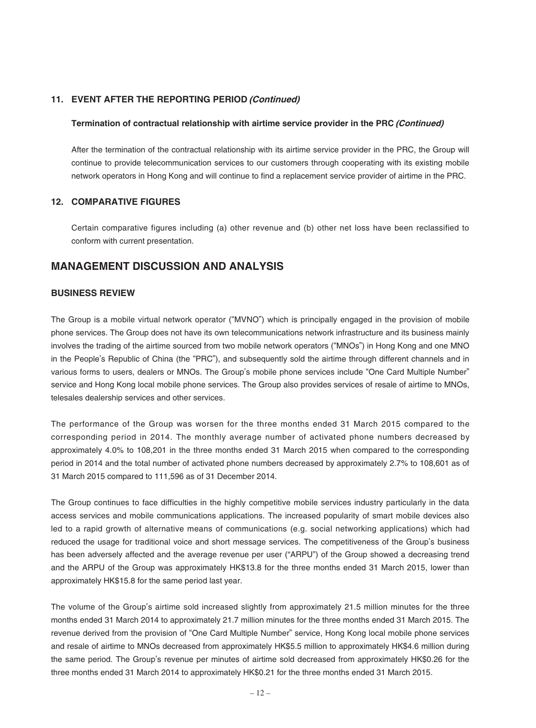## **11. EVENT AFTER THE REPORTING PERIOD (Continued)**

#### **Termination of contractual relationship with airtime service provider in the PRC (Continued)**

After the termination of the contractual relationship with its airtime service provider in the PRC, the Group will continue to provide telecommunication services to our customers through cooperating with its existing mobile network operators in Hong Kong and will continue to find a replacement service provider of airtime in the PRC.

#### **12. COMPARATIVE FIGURES**

Certain comparative figures including (a) other revenue and (b) other net loss have been reclassified to conform with current presentation.

## **MANAGEMENT DISCUSSION AND ANALYSIS**

### **BUSINESS REVIEW**

The Group is a mobile virtual network operator ("MVNO") which is principally engaged in the provision of mobile phone services. The Group does not have its own telecommunications network infrastructure and its business mainly involves the trading of the airtime sourced from two mobile network operators ("MNOs") in Hong Kong and one MNO in the People's Republic of China (the "PRC"), and subsequently sold the airtime through different channels and in various forms to users, dealers or MNOs. The Group's mobile phone services include "One Card Multiple Number" service and Hong Kong local mobile phone services. The Group also provides services of resale of airtime to MNOs, telesales dealership services and other services.

The performance of the Group was worsen for the three months ended 31 March 2015 compared to the corresponding period in 2014. The monthly average number of activated phone numbers decreased by approximately 4.0% to 108,201 in the three months ended 31 March 2015 when compared to the corresponding period in 2014 and the total number of activated phone numbers decreased by approximately 2.7% to 108,601 as of 31 March 2015 compared to 111,596 as of 31 December 2014.

The Group continues to face difficulties in the highly competitive mobile services industry particularly in the data access services and mobile communications applications. The increased popularity of smart mobile devices also led to a rapid growth of alternative means of communications (e.g. social networking applications) which had reduced the usage for traditional voice and short message services. The competitiveness of the Group's business has been adversely affected and the average revenue per user ("ARPU") of the Group showed a decreasing trend and the ARPU of the Group was approximately HK\$13.8 for the three months ended 31 March 2015, lower than approximately HK\$15.8 for the same period last year.

The volume of the Group's airtime sold increased slightly from approximately 21.5 million minutes for the three months ended 31 March 2014 to approximately 21.7 million minutes for the three months ended 31 March 2015. The revenue derived from the provision of "One Card Multiple Number" service, Hong Kong local mobile phone services and resale of airtime to MNOs decreased from approximately HK\$5.5 million to approximately HK\$4.6 million during the same period. The Group's revenue per minutes of airtime sold decreased from approximately HK\$0.26 for the three months ended 31 March 2014 to approximately HK\$0.21 for the three months ended 31 March 2015.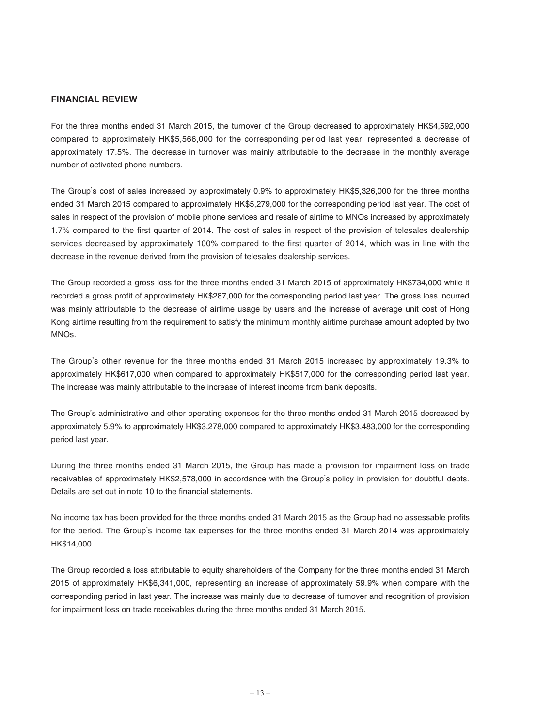### **FINANCIAL REVIEW**

For the three months ended 31 March 2015, the turnover of the Group decreased to approximately HK\$4,592,000 compared to approximately HK\$5,566,000 for the corresponding period last year, represented a decrease of approximately 17.5%. The decrease in turnover was mainly attributable to the decrease in the monthly average number of activated phone numbers.

The Group's cost of sales increased by approximately 0.9% to approximately HK\$5,326,000 for the three months ended 31 March 2015 compared to approximately HK\$5,279,000 for the corresponding period last year. The cost of sales in respect of the provision of mobile phone services and resale of airtime to MNOs increased by approximately 1.7% compared to the first quarter of 2014. The cost of sales in respect of the provision of telesales dealership services decreased by approximately 100% compared to the first quarter of 2014, which was in line with the decrease in the revenue derived from the provision of telesales dealership services.

The Group recorded a gross loss for the three months ended 31 March 2015 of approximately HK\$734,000 while it recorded a gross profit of approximately HK\$287,000 for the corresponding period last year. The gross loss incurred was mainly attributable to the decrease of airtime usage by users and the increase of average unit cost of Hong Kong airtime resulting from the requirement to satisfy the minimum monthly airtime purchase amount adopted by two MNOs.

The Group's other revenue for the three months ended 31 March 2015 increased by approximately 19.3% to approximately HK\$617,000 when compared to approximately HK\$517,000 for the corresponding period last year. The increase was mainly attributable to the increase of interest income from bank deposits.

The Group's administrative and other operating expenses for the three months ended 31 March 2015 decreased by approximately 5.9% to approximately HK\$3,278,000 compared to approximately HK\$3,483,000 for the corresponding period last year.

During the three months ended 31 March 2015, the Group has made a provision for impairment loss on trade receivables of approximately HK\$2,578,000 in accordance with the Group's policy in provision for doubtful debts. Details are set out in note 10 to the financial statements.

No income tax has been provided for the three months ended 31 March 2015 as the Group had no assessable profits for the period. The Group's income tax expenses for the three months ended 31 March 2014 was approximately HK\$14,000.

The Group recorded a loss attributable to equity shareholders of the Company for the three months ended 31 March 2015 of approximately HK\$6,341,000, representing an increase of approximately 59.9% when compare with the corresponding period in last year. The increase was mainly due to decrease of turnover and recognition of provision for impairment loss on trade receivables during the three months ended 31 March 2015.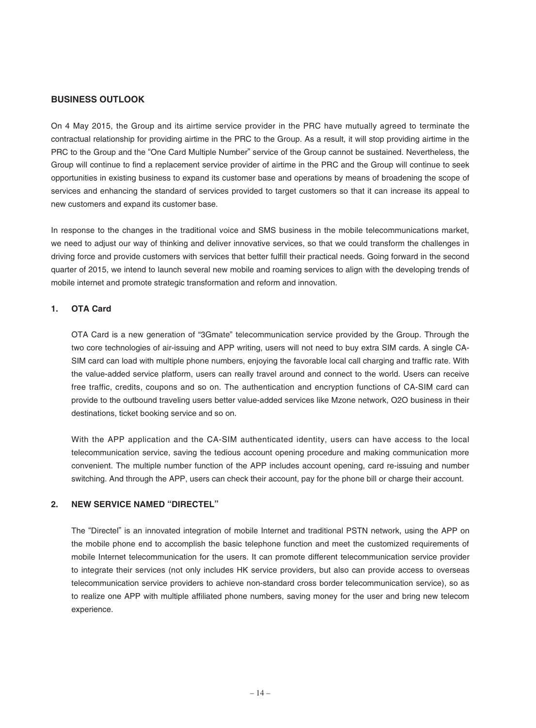### **BUSINESS OUTLOOK**

On 4 May 2015, the Group and its airtime service provider in the PRC have mutually agreed to terminate the contractual relationship for providing airtime in the PRC to the Group. As a result, it will stop providing airtime in the PRC to the Group and the "One Card Multiple Number" service of the Group cannot be sustained. Nevertheless, the Group will continue to find a replacement service provider of airtime in the PRC and the Group will continue to seek opportunities in existing business to expand its customer base and operations by means of broadening the scope of services and enhancing the standard of services provided to target customers so that it can increase its appeal to new customers and expand its customer base.

In response to the changes in the traditional voice and SMS business in the mobile telecommunications market, we need to adjust our way of thinking and deliver innovative services, so that we could transform the challenges in driving force and provide customers with services that better fulfill their practical needs. Going forward in the second quarter of 2015, we intend to launch several new mobile and roaming services to align with the developing trends of mobile internet and promote strategic transformation and reform and innovation.

#### **1. OTA Card**

OTA Card is a new generation of "3Gmate" telecommunication service provided by the Group. Through the two core technologies of air-issuing and APP writing, users will not need to buy extra SIM cards. A single CA-SIM card can load with multiple phone numbers, enjoying the favorable local call charging and traffic rate. With the value-added service platform, users can really travel around and connect to the world. Users can receive free traffic, credits, coupons and so on. The authentication and encryption functions of CA-SIM card can provide to the outbound traveling users better value-added services like Mzone network, O2O business in their destinations, ticket booking service and so on.

With the APP application and the CA-SIM authenticated identity, users can have access to the local telecommunication service, saving the tedious account opening procedure and making communication more convenient. The multiple number function of the APP includes account opening, card re-issuing and number switching. And through the APP, users can check their account, pay for the phone bill or charge their account.

#### **2. NEW SERVICE NAMED "DIRECTEL"**

The "Directel" is an innovated integration of mobile Internet and traditional PSTN network, using the APP on the mobile phone end to accomplish the basic telephone function and meet the customized requirements of mobile Internet telecommunication for the users. It can promote different telecommunication service provider to integrate their services (not only includes HK service providers, but also can provide access to overseas telecommunication service providers to achieve non-standard cross border telecommunication service), so as to realize one APP with multiple affiliated phone numbers, saving money for the user and bring new telecom experience.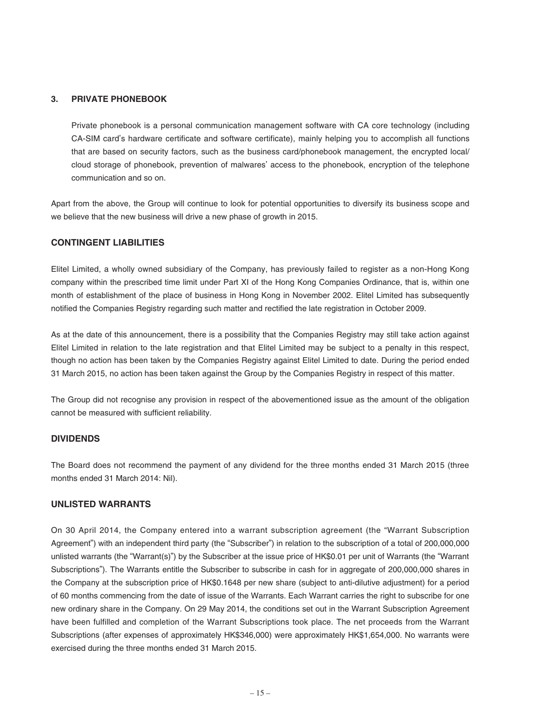### **3. PRIVATE PHONEBOOK**

Private phonebook is a personal communication management software with CA core technology (including CA-SIM card's hardware certificate and software certificate), mainly helping you to accomplish all functions that are based on security factors, such as the business card/phonebook management, the encrypted local/ cloud storage of phonebook, prevention of malwares' access to the phonebook, encryption of the telephone communication and so on.

Apart from the above, the Group will continue to look for potential opportunities to diversify its business scope and we believe that the new business will drive a new phase of growth in 2015.

#### **CONTINGENT LIABILITIES**

Elitel Limited, a wholly owned subsidiary of the Company, has previously failed to register as a non-Hong Kong company within the prescribed time limit under Part XI of the Hong Kong Companies Ordinance, that is, within one month of establishment of the place of business in Hong Kong in November 2002. Elitel Limited has subsequently notified the Companies Registry regarding such matter and rectified the late registration in October 2009.

As at the date of this announcement, there is a possibility that the Companies Registry may still take action against Elitel Limited in relation to the late registration and that Elitel Limited may be subject to a penalty in this respect, though no action has been taken by the Companies Registry against Elitel Limited to date. During the period ended 31 March 2015, no action has been taken against the Group by the Companies Registry in respect of this matter.

The Group did not recognise any provision in respect of the abovementioned issue as the amount of the obligation cannot be measured with sufficient reliability.

### **DIVIDENDS**

The Board does not recommend the payment of any dividend for the three months ended 31 March 2015 (three months ended 31 March 2014: Nil).

### **UNLISTED WARRANTS**

On 30 April 2014, the Company entered into a warrant subscription agreement (the "Warrant Subscription Agreement") with an independent third party (the "Subscriber") in relation to the subscription of a total of 200,000,000 unlisted warrants (the "Warrant(s)") by the Subscriber at the issue price of HK\$0.01 per unit of Warrants (the "Warrant Subscriptions"). The Warrants entitle the Subscriber to subscribe in cash for in aggregate of 200,000,000 shares in the Company at the subscription price of HK\$0.1648 per new share (subject to anti-dilutive adjustment) for a period of 60 months commencing from the date of issue of the Warrants. Each Warrant carries the right to subscribe for one new ordinary share in the Company. On 29 May 2014, the conditions set out in the Warrant Subscription Agreement have been fulfilled and completion of the Warrant Subscriptions took place. The net proceeds from the Warrant Subscriptions (after expenses of approximately HK\$346,000) were approximately HK\$1,654,000. No warrants were exercised during the three months ended 31 March 2015.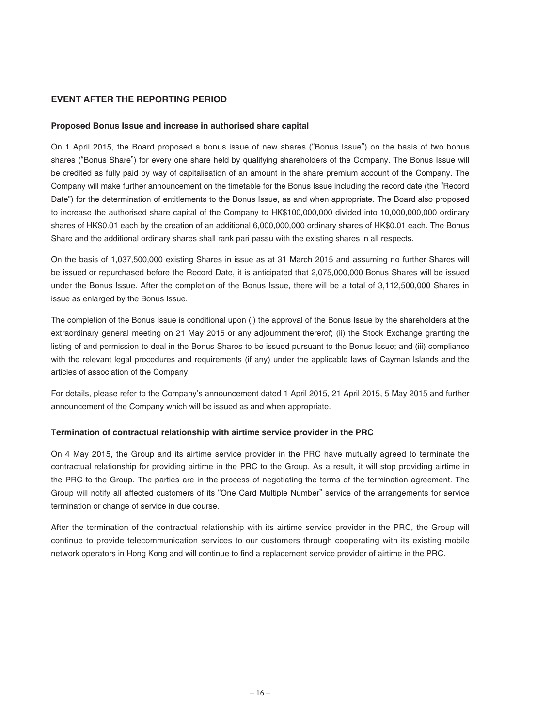## **EVENT AFTER THE REPORTING PERIOD**

#### **Proposed Bonus Issue and increase in authorised share capital**

On 1 April 2015, the Board proposed a bonus issue of new shares ("Bonus Issue") on the basis of two bonus shares ("Bonus Share") for every one share held by qualifying shareholders of the Company. The Bonus Issue will be credited as fully paid by way of capitalisation of an amount in the share premium account of the Company. The Company will make further announcement on the timetable for the Bonus Issue including the record date (the "Record Date") for the determination of entitlements to the Bonus Issue, as and when appropriate. The Board also proposed to increase the authorised share capital of the Company to HK\$100,000,000 divided into 10,000,000,000 ordinary shares of HK\$0.01 each by the creation of an additional 6,000,000,000 ordinary shares of HK\$0.01 each. The Bonus Share and the additional ordinary shares shall rank pari passu with the existing shares in all respects.

On the basis of 1,037,500,000 existing Shares in issue as at 31 March 2015 and assuming no further Shares will be issued or repurchased before the Record Date, it is anticipated that 2,075,000,000 Bonus Shares will be issued under the Bonus Issue. After the completion of the Bonus Issue, there will be a total of 3,112,500,000 Shares in issue as enlarged by the Bonus Issue.

The completion of the Bonus Issue is conditional upon (i) the approval of the Bonus Issue by the shareholders at the extraordinary general meeting on 21 May 2015 or any adjournment thererof; (ii) the Stock Exchange granting the listing of and permission to deal in the Bonus Shares to be issued pursuant to the Bonus Issue; and (iii) compliance with the relevant legal procedures and requirements (if any) under the applicable laws of Cayman Islands and the articles of association of the Company.

For details, please refer to the Company's announcement dated 1 April 2015, 21 April 2015, 5 May 2015 and further announcement of the Company which will be issued as and when appropriate.

#### **Termination of contractual relationship with airtime service provider in the PRC**

On 4 May 2015, the Group and its airtime service provider in the PRC have mutually agreed to terminate the contractual relationship for providing airtime in the PRC to the Group. As a result, it will stop providing airtime in the PRC to the Group. The parties are in the process of negotiating the terms of the termination agreement. The Group will notify all affected customers of its "One Card Multiple Number" service of the arrangements for service termination or change of service in due course.

After the termination of the contractual relationship with its airtime service provider in the PRC, the Group will continue to provide telecommunication services to our customers through cooperating with its existing mobile network operators in Hong Kong and will continue to find a replacement service provider of airtime in the PRC.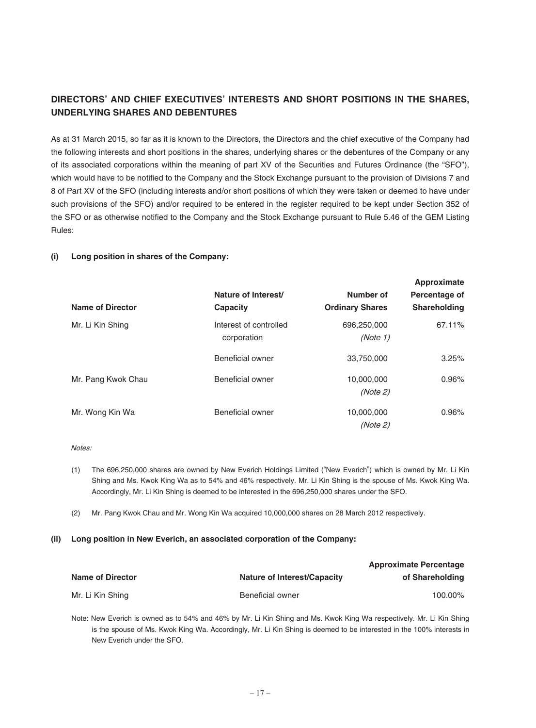# **DIRECTORS' AND CHIEF EXECUTIVES' INTERESTS AND SHORT POSITIONS IN THE SHARES, UNDERLYING SHARES AND DEBENTURES**

As at 31 March 2015, so far as it is known to the Directors, the Directors and the chief executive of the Company had the following interests and short positions in the shares, underlying shares or the debentures of the Company or any of its associated corporations within the meaning of part XV of the Securities and Futures Ordinance (the "SFO"), which would have to be notified to the Company and the Stock Exchange pursuant to the provision of Divisions 7 and 8 of Part XV of the SFO (including interests and/or short positions of which they were taken or deemed to have under such provisions of the SFO) and/or required to be entered in the register required to be kept under Section 352 of the SFO or as otherwise notified to the Company and the Stock Exchange pursuant to Rule 5.46 of the GEM Listing Rules:

#### **(i) Long position in shares of the Company:**

| Name of Director   | Nature of Interest/<br>Capacity       | Number of<br><b>Ordinary Shares</b> | Approximate<br>Percentage of<br><b>Shareholding</b> |
|--------------------|---------------------------------------|-------------------------------------|-----------------------------------------------------|
| Mr. Li Kin Shing   | Interest of controlled<br>corporation | 696,250,000<br>(Note 1)             | 67.11%                                              |
|                    | Beneficial owner                      | 33.750.000                          | 3.25%                                               |
| Mr. Pang Kwok Chau | Beneficial owner                      | 10,000,000<br>(Note 2)              | 0.96%                                               |
| Mr. Wong Kin Wa    | <b>Beneficial owner</b>               | 10,000,000<br>(Note 2)              | 0.96%                                               |

**Approximate**

#### Notes:

- (1) The 696,250,000 shares are owned by New Everich Holdings Limited ("New Everich") which is owned by Mr. Li Kin Shing and Ms. Kwok King Wa as to 54% and 46% respectively. Mr. Li Kin Shing is the spouse of Ms. Kwok King Wa. Accordingly, Mr. Li Kin Shing is deemed to be interested in the 696,250,000 shares under the SFO.
- (2) Mr. Pang Kwok Chau and Mr. Wong Kin Wa acquired 10,000,000 shares on 28 March 2012 respectively.

#### **(ii) Long position in New Everich, an associated corporation of the Company:**

|                         |                                    | <b>Approximate Percentage</b> |  |
|-------------------------|------------------------------------|-------------------------------|--|
| <b>Name of Director</b> | <b>Nature of Interest/Capacity</b> | of Shareholding               |  |
| Mr. Li Kin Shing        | Beneficial owner                   | 100.00%                       |  |

Note: New Everich is owned as to 54% and 46% by Mr. Li Kin Shing and Ms. Kwok King Wa respectively. Mr. Li Kin Shing is the spouse of Ms. Kwok King Wa. Accordingly, Mr. Li Kin Shing is deemed to be interested in the 100% interests in New Everich under the SFO.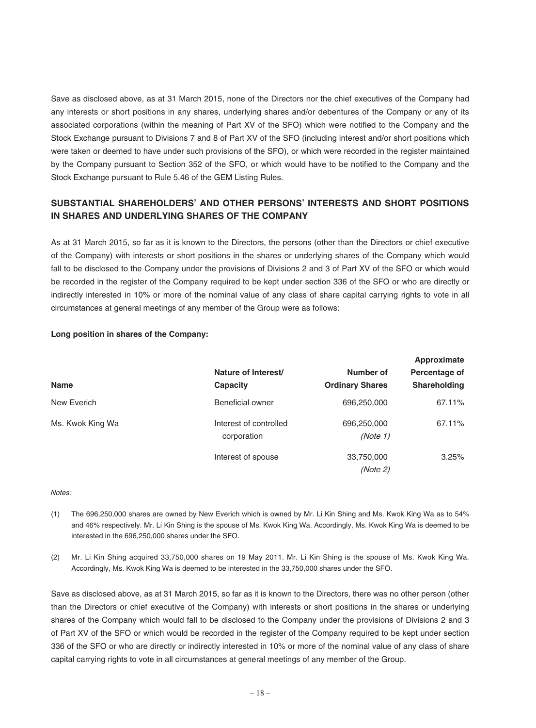Save as disclosed above, as at 31 March 2015, none of the Directors nor the chief executives of the Company had any interests or short positions in any shares, underlying shares and/or debentures of the Company or any of its associated corporations (within the meaning of Part XV of the SFO) which were notified to the Company and the Stock Exchange pursuant to Divisions 7 and 8 of Part XV of the SFO (including interest and/or short positions which were taken or deemed to have under such provisions of the SFO), or which were recorded in the register maintained by the Company pursuant to Section 352 of the SFO, or which would have to be notified to the Company and the Stock Exchange pursuant to Rule 5.46 of the GEM Listing Rules.

# **SUBSTANTIAL SHAREHOLDERS' AND OTHER PERSONS' INTERESTS AND SHORT POSITIONS IN SHARES AND UNDERLYING SHARES OF THE COMPANY**

As at 31 March 2015, so far as it is known to the Directors, the persons (other than the Directors or chief executive of the Company) with interests or short positions in the shares or underlying shares of the Company which would fall to be disclosed to the Company under the provisions of Divisions 2 and 3 of Part XV of the SFO or which would be recorded in the register of the Company required to be kept under section 336 of the SFO or who are directly or indirectly interested in 10% or more of the nominal value of any class of share capital carrying rights to vote in all circumstances at general meetings of any member of the Group were as follows:

|                  |                                       | Approximate             |               |
|------------------|---------------------------------------|-------------------------|---------------|
|                  | Nature of Interest/                   | Number of               | Percentage of |
| <b>Name</b>      | Capacity                              | <b>Ordinary Shares</b>  | Shareholding  |
| New Everich      | Beneficial owner                      | 696,250,000             | 67.11%        |
| Ms. Kwok King Wa | Interest of controlled<br>corporation | 696,250,000<br>(Note 1) | 67.11%        |
|                  | Interest of spouse                    | 33,750,000<br>(Note 2)  | 3.25%         |

### **Long position in shares of the Company:**

#### Notes:

- (1) The 696,250,000 shares are owned by New Everich which is owned by Mr. Li Kin Shing and Ms. Kwok King Wa as to 54% and 46% respectively. Mr. Li Kin Shing is the spouse of Ms. Kwok King Wa. Accordingly, Ms. Kwok King Wa is deemed to be interested in the 696,250,000 shares under the SFO.
- (2) Mr. Li Kin Shing acquired 33,750,000 shares on 19 May 2011. Mr. Li Kin Shing is the spouse of Ms. Kwok King Wa. Accordingly, Ms. Kwok King Wa is deemed to be interested in the 33,750,000 shares under the SFO.

Save as disclosed above, as at 31 March 2015, so far as it is known to the Directors, there was no other person (other than the Directors or chief executive of the Company) with interests or short positions in the shares or underlying shares of the Company which would fall to be disclosed to the Company under the provisions of Divisions 2 and 3 of Part XV of the SFO or which would be recorded in the register of the Company required to be kept under section 336 of the SFO or who are directly or indirectly interested in 10% or more of the nominal value of any class of share capital carrying rights to vote in all circumstances at general meetings of any member of the Group.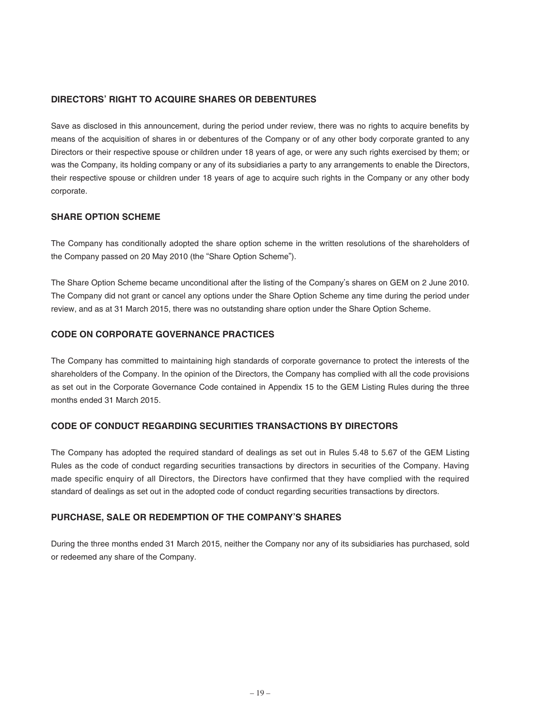## **DIRECTORS' RIGHT TO ACQUIRE SHARES OR DEBENTURES**

Save as disclosed in this announcement, during the period under review, there was no rights to acquire benefits by means of the acquisition of shares in or debentures of the Company or of any other body corporate granted to any Directors or their respective spouse or children under 18 years of age, or were any such rights exercised by them; or was the Company, its holding company or any of its subsidiaries a party to any arrangements to enable the Directors, their respective spouse or children under 18 years of age to acquire such rights in the Company or any other body corporate.

### **SHARE OPTION SCHEME**

The Company has conditionally adopted the share option scheme in the written resolutions of the shareholders of the Company passed on 20 May 2010 (the "Share Option Scheme").

The Share Option Scheme became unconditional after the listing of the Company's shares on GEM on 2 June 2010. The Company did not grant or cancel any options under the Share Option Scheme any time during the period under review, and as at 31 March 2015, there was no outstanding share option under the Share Option Scheme.

## **CODE ON CORPORATE GOVERNANCE PRACTICES**

The Company has committed to maintaining high standards of corporate governance to protect the interests of the shareholders of the Company. In the opinion of the Directors, the Company has complied with all the code provisions as set out in the Corporate Governance Code contained in Appendix 15 to the GEM Listing Rules during the three months ended 31 March 2015.

### **CODE OF CONDUCT REGARDING SECURITIES TRANSACTIONS BY DIRECTORS**

The Company has adopted the required standard of dealings as set out in Rules 5.48 to 5.67 of the GEM Listing Rules as the code of conduct regarding securities transactions by directors in securities of the Company. Having made specific enquiry of all Directors, the Directors have confirmed that they have complied with the required standard of dealings as set out in the adopted code of conduct regarding securities transactions by directors.

## **PURCHASE, SALE OR REDEMPTION OF THE COMPANY'S SHARES**

During the three months ended 31 March 2015, neither the Company nor any of its subsidiaries has purchased, sold or redeemed any share of the Company.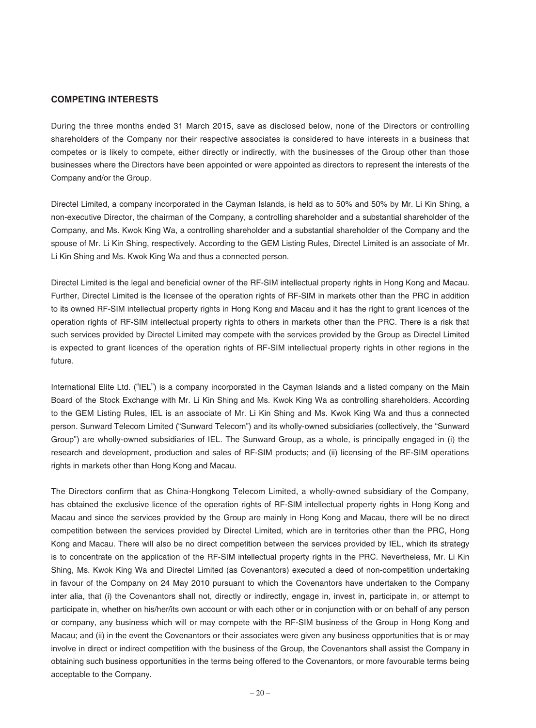#### **COMPETING INTERESTS**

During the three months ended 31 March 2015, save as disclosed below, none of the Directors or controlling shareholders of the Company nor their respective associates is considered to have interests in a business that competes or is likely to compete, either directly or indirectly, with the businesses of the Group other than those businesses where the Directors have been appointed or were appointed as directors to represent the interests of the Company and/or the Group.

Directel Limited, a company incorporated in the Cayman Islands, is held as to 50% and 50% by Mr. Li Kin Shing, a non-executive Director, the chairman of the Company, a controlling shareholder and a substantial shareholder of the Company, and Ms. Kwok King Wa, a controlling shareholder and a substantial shareholder of the Company and the spouse of Mr. Li Kin Shing, respectively. According to the GEM Listing Rules, Directel Limited is an associate of Mr. Li Kin Shing and Ms. Kwok King Wa and thus a connected person.

Directel Limited is the legal and beneficial owner of the RF-SIM intellectual property rights in Hong Kong and Macau. Further, Directel Limited is the licensee of the operation rights of RF-SIM in markets other than the PRC in addition to its owned RF-SIM intellectual property rights in Hong Kong and Macau and it has the right to grant licences of the operation rights of RF-SIM intellectual property rights to others in markets other than the PRC. There is a risk that such services provided by Directel Limited may compete with the services provided by the Group as Directel Limited is expected to grant licences of the operation rights of RF-SIM intellectual property rights in other regions in the future.

International Elite Ltd. ("IEL") is a company incorporated in the Cayman Islands and a listed company on the Main Board of the Stock Exchange with Mr. Li Kin Shing and Ms. Kwok King Wa as controlling shareholders. According to the GEM Listing Rules, IEL is an associate of Mr. Li Kin Shing and Ms. Kwok King Wa and thus a connected person. Sunward Telecom Limited ("Sunward Telecom") and its wholly-owned subsidiaries (collectively, the "Sunward Group") are wholly-owned subsidiaries of IEL. The Sunward Group, as a whole, is principally engaged in (i) the research and development, production and sales of RF-SIM products; and (ii) licensing of the RF-SIM operations rights in markets other than Hong Kong and Macau.

The Directors confirm that as China-Hongkong Telecom Limited, a wholly-owned subsidiary of the Company, has obtained the exclusive licence of the operation rights of RF-SIM intellectual property rights in Hong Kong and Macau and since the services provided by the Group are mainly in Hong Kong and Macau, there will be no direct competition between the services provided by Directel Limited, which are in territories other than the PRC, Hong Kong and Macau. There will also be no direct competition between the services provided by IEL, which its strategy is to concentrate on the application of the RF-SIM intellectual property rights in the PRC. Nevertheless, Mr. Li Kin Shing, Ms. Kwok King Wa and Directel Limited (as Covenantors) executed a deed of non-competition undertaking in favour of the Company on 24 May 2010 pursuant to which the Covenantors have undertaken to the Company inter alia, that (i) the Covenantors shall not, directly or indirectly, engage in, invest in, participate in, or attempt to participate in, whether on his/her/its own account or with each other or in conjunction with or on behalf of any person or company, any business which will or may compete with the RF-SIM business of the Group in Hong Kong and Macau; and (ii) in the event the Covenantors or their associates were given any business opportunities that is or may involve in direct or indirect competition with the business of the Group, the Covenantors shall assist the Company in obtaining such business opportunities in the terms being offered to the Covenantors, or more favourable terms being acceptable to the Company.